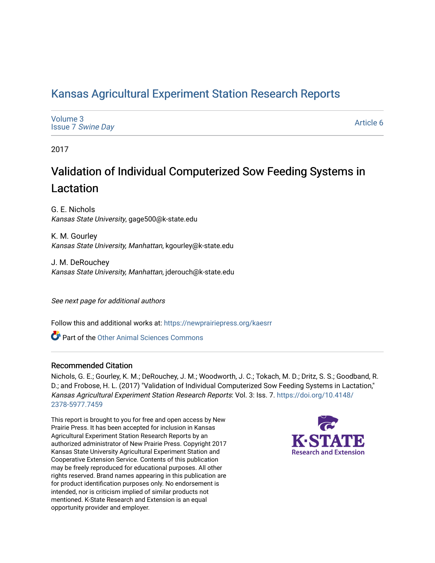# [Kansas Agricultural Experiment Station Research Reports](https://newprairiepress.org/kaesrr)

| Volume 3<br><b>Issue 7 Swine Day</b> | <b>Article</b> |
|--------------------------------------|----------------|
|                                      |                |

2017

# Validation of Individual Computerized Sow Feeding Systems in Lactation

G. E. Nichols Kansas State University, gage500@k-state.edu

K. M. Gourley Kansas State University, Manhattan, kgourley@k-state.edu

J. M. DeRouchey Kansas State University, Manhattan, jderouch@k-state.edu

See next page for additional authors

Follow this and additional works at: [https://newprairiepress.org/kaesrr](https://newprairiepress.org/kaesrr?utm_source=newprairiepress.org%2Fkaesrr%2Fvol3%2Fiss7%2F6&utm_medium=PDF&utm_campaign=PDFCoverPages) 

**C** Part of the [Other Animal Sciences Commons](http://network.bepress.com/hgg/discipline/82?utm_source=newprairiepress.org%2Fkaesrr%2Fvol3%2Fiss7%2F6&utm_medium=PDF&utm_campaign=PDFCoverPages)

#### Recommended Citation

Nichols, G. E.; Gourley, K. M.; DeRouchey, J. M.; Woodworth, J. C.; Tokach, M. D.; Dritz, S. S.; Goodband, R. D.; and Frobose, H. L. (2017) "Validation of Individual Computerized Sow Feeding Systems in Lactation," Kansas Agricultural Experiment Station Research Reports: Vol. 3: Iss. 7. [https://doi.org/10.4148/](https://doi.org/10.4148/2378-5977.7459) [2378-5977.7459](https://doi.org/10.4148/2378-5977.7459) 

This report is brought to you for free and open access by New Prairie Press. It has been accepted for inclusion in Kansas Agricultural Experiment Station Research Reports by an authorized administrator of New Prairie Press. Copyright 2017 Kansas State University Agricultural Experiment Station and Cooperative Extension Service. Contents of this publication may be freely reproduced for educational purposes. All other rights reserved. Brand names appearing in this publication are for product identification purposes only. No endorsement is intended, nor is criticism implied of similar products not mentioned. K-State Research and Extension is an equal opportunity provider and employer.



6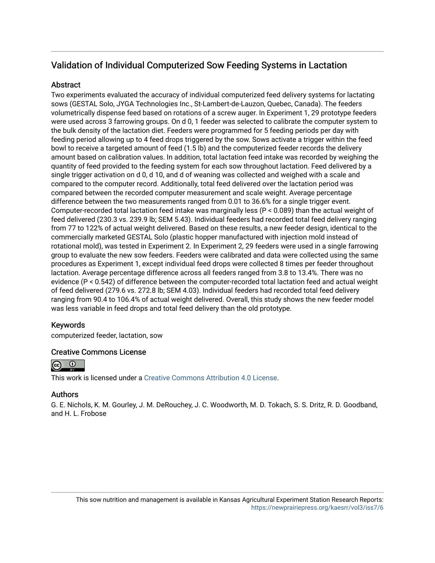## Validation of Individual Computerized Sow Feeding Systems in Lactation

### **Abstract**

Two experiments evaluated the accuracy of individual computerized feed delivery systems for lactating sows (GESTAL Solo, JYGA Technologies Inc., St-Lambert-de-Lauzon, Quebec, Canada). The feeders volumetrically dispense feed based on rotations of a screw auger. In Experiment 1, 29 prototype feeders were used across 3 farrowing groups. On d 0, 1 feeder was selected to calibrate the computer system to the bulk density of the lactation diet. Feeders were programmed for 5 feeding periods per day with feeding period allowing up to 4 feed drops triggered by the sow. Sows activate a trigger within the feed bowl to receive a targeted amount of feed (1.5 lb) and the computerized feeder records the delivery amount based on calibration values. In addition, total lactation feed intake was recorded by weighing the quantity of feed provided to the feeding system for each sow throughout lactation. Feed delivered by a single trigger activation on d 0, d 10, and d of weaning was collected and weighed with a scale and compared to the computer record. Additionally, total feed delivered over the lactation period was compared between the recorded computer measurement and scale weight. Average percentage difference between the two measurements ranged from 0.01 to 36.6% for a single trigger event. Computer-recorded total lactation feed intake was marginally less (P < 0.089) than the actual weight of feed delivered (230.3 vs. 239.9 lb; SEM 5.43). Individual feeders had recorded total feed delivery ranging from 77 to 122% of actual weight delivered. Based on these results, a new feeder design, identical to the commercially marketed GESTAL Solo (plastic hopper manufactured with injection mold instead of rotational mold), was tested in Experiment 2. In Experiment 2, 29 feeders were used in a single farrowing group to evaluate the new sow feeders. Feeders were calibrated and data were collected using the same procedures as Experiment 1, except individual feed drops were collected 8 times per feeder throughout lactation. Average percentage difference across all feeders ranged from 3.8 to 13.4%. There was no evidence (P < 0.542) of difference between the computer-recorded total lactation feed and actual weight of feed delivered (279.6 vs. 272.8 lb; SEM 4.03). Individual feeders had recorded total feed delivery ranging from 90.4 to 106.4% of actual weight delivered. Overall, this study shows the new feeder model was less variable in feed drops and total feed delivery than the old prototype.

### Keywords

computerized feeder, lactation, sow

### Creative Commons License



This work is licensed under a [Creative Commons Attribution 4.0 License](https://creativecommons.org/licenses/by/4.0/).

### Authors

G. E. Nichols, K. M. Gourley, J. M. DeRouchey, J. C. Woodworth, M. D. Tokach, S. S. Dritz, R. D. Goodband, and H. L. Frobose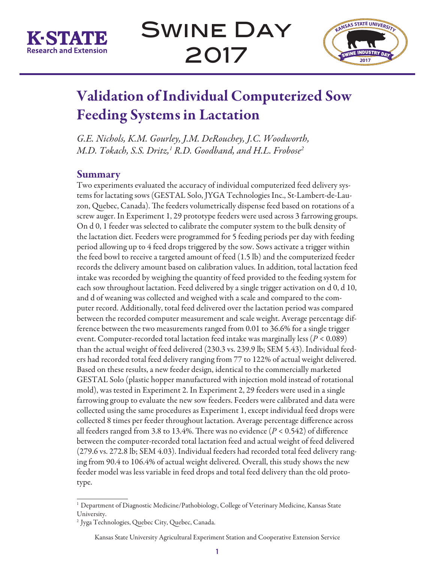

Swine Day 2017



# Validation of Individual Computerized Sow Feeding Systems in Lactation

*G.E. Nichols, K.M. Gourley, J.M. DeRouchey, J.C. Woodworth, M.D. Tokach, S.S. Dritz,1 R.D. Goodband, and H.L. Frobose2*

## Summary

Two experiments evaluated the accuracy of individual computerized feed delivery systems for lactating sows (GESTAL Solo, JYGA Technologies Inc., St-Lambert-de-Lauzon, Quebec, Canada). The feeders volumetrically dispense feed based on rotations of a screw auger. In Experiment 1, 29 prototype feeders were used across 3 farrowing groups. On d 0, 1 feeder was selected to calibrate the computer system to the bulk density of the lactation diet. Feeders were programmed for 5 feeding periods per day with feeding period allowing up to 4 feed drops triggered by the sow. Sows activate a trigger within the feed bowl to receive a targeted amount of feed (1.5 lb) and the computerized feeder records the delivery amount based on calibration values. In addition, total lactation feed intake was recorded by weighing the quantity of feed provided to the feeding system for each sow throughout lactation. Feed delivered by a single trigger activation on d 0, d 10, and d of weaning was collected and weighed with a scale and compared to the computer record. Additionally, total feed delivered over the lactation period was compared between the recorded computer measurement and scale weight. Average percentage difference between the two measurements ranged from 0.01 to 36.6% for a single trigger event. Computer-recorded total lactation feed intake was marginally less (*P* < 0.089) than the actual weight of feed delivered (230.3 vs. 239.9 lb; SEM 5.43). Individual feeders had recorded total feed delivery ranging from 77 to 122% of actual weight delivered. Based on these results, a new feeder design, identical to the commercially marketed GESTAL Solo (plastic hopper manufactured with injection mold instead of rotational mold), was tested in Experiment 2. In Experiment 2, 29 feeders were used in a single farrowing group to evaluate the new sow feeders. Feeders were calibrated and data were collected using the same procedures as Experiment 1, except individual feed drops were collected 8 times per feeder throughout lactation. Average percentage difference across all feeders ranged from 3.8 to 13.4%. There was no evidence (*P* < 0.542) of difference between the computer-recorded total lactation feed and actual weight of feed delivered (279.6 vs. 272.8 lb; SEM 4.03). Individual feeders had recorded total feed delivery ranging from 90.4 to 106.4% of actual weight delivered. Overall, this study shows the new feeder model was less variable in feed drops and total feed delivery than the old prototype.

<sup>&</sup>lt;sup>1</sup> Department of Diagnostic Medicine/Pathobiology, College of Veterinary Medicine, Kansas State University.

<sup>2</sup> Jyga Technologies, Quebec City, Quebec, Canada.

Kansas State University Agricultural Experiment Station and Cooperative Extension Service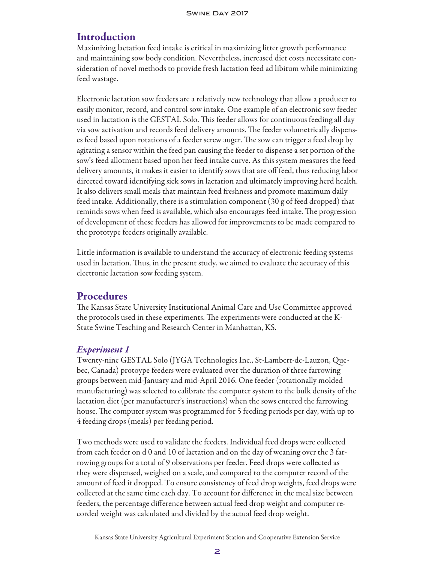## **Introduction**

Maximizing lactation feed intake is critical in maximizing litter growth performance and maintaining sow body condition. Nevertheless, increased diet costs necessitate consideration of novel methods to provide fresh lactation feed ad libitum while minimizing feed wastage.

Electronic lactation sow feeders are a relatively new technology that allow a producer to easily monitor, record, and control sow intake. One example of an electronic sow feeder used in lactation is the GESTAL Solo. This feeder allows for continuous feeding all day via sow activation and records feed delivery amounts. The feeder volumetrically dispenses feed based upon rotations of a feeder screw auger. The sow can trigger a feed drop by agitating a sensor within the feed pan causing the feeder to dispense a set portion of the sow's feed allotment based upon her feed intake curve. As this system measures the feed delivery amounts, it makes it easier to identify sows that are off feed, thus reducing labor directed toward identifying sick sows in lactation and ultimately improving herd health. It also delivers small meals that maintain feed freshness and promote maximum daily feed intake. Additionally, there is a stimulation component (30 g of feed dropped) that reminds sows when feed is available, which also encourages feed intake. The progression of development of these feeders has allowed for improvements to be made compared to the prototype feeders originally available.

Little information is available to understand the accuracy of electronic feeding systems used in lactation. Thus, in the present study, we aimed to evaluate the accuracy of this electronic lactation sow feeding system.

## **Procedures**

The Kansas State University Institutional Animal Care and Use Committee approved the protocols used in these experiments. The experiments were conducted at the K-State Swine Teaching and Research Center in Manhattan, KS.

### *Experiment 1*

Twenty-nine GESTAL Solo (JYGA Technologies Inc., St-Lambert-de-Lauzon, Quebec, Canada) protoype feeders were evaluated over the duration of three farrowing groups between mid-January and mid-April 2016. One feeder (rotationally molded manufacturing) was selected to calibrate the computer system to the bulk density of the lactation diet (per manufacturer's instructions) when the sows entered the farrowing house. The computer system was programmed for 5 feeding periods per day, with up to 4 feeding drops (meals) per feeding period.

Two methods were used to validate the feeders. Individual feed drops were collected from each feeder on d 0 and 10 of lactation and on the day of weaning over the 3 farrowing groups for a total of 9 observations per feeder. Feed drops were collected as they were dispensed, weighed on a scale, and compared to the computer record of the amount of feed it dropped. To ensure consistency of feed drop weights, feed drops were collected at the same time each day. To account for difference in the meal size between feeders, the percentage difference between actual feed drop weight and computer recorded weight was calculated and divided by the actual feed drop weight.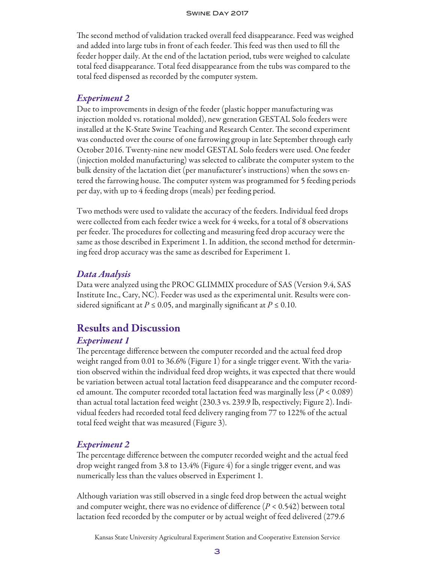#### Swine Day 2017

The second method of validation tracked overall feed disappearance. Feed was weighed and added into large tubs in front of each feeder. This feed was then used to fill the feeder hopper daily. At the end of the lactation period, tubs were weighed to calculate total feed disappearance. Total feed disappearance from the tubs was compared to the total feed dispensed as recorded by the computer system.

#### *Experiment 2*

Due to improvements in design of the feeder (plastic hopper manufacturing was injection molded vs. rotational molded), new generation GESTAL Solo feeders were installed at the K-State Swine Teaching and Research Center. The second experiment was conducted over the course of one farrowing group in late September through early October 2016. Twenty-nine new model GESTAL Solo feeders were used. One feeder (injection molded manufacturing) was selected to calibrate the computer system to the bulk density of the lactation diet (per manufacturer's instructions) when the sows entered the farrowing house. The computer system was programmed for 5 feeding periods per day, with up to 4 feeding drops (meals) per feeding period.

Two methods were used to validate the accuracy of the feeders. Individual feed drops were collected from each feeder twice a week for 4 weeks, for a total of 8 observations per feeder. The procedures for collecting and measuring feed drop accuracy were the same as those described in Experiment 1. In addition, the second method for determining feed drop accuracy was the same as described for Experiment 1.

#### *Data Analysis*

Data were analyzed using the PROC GLIMMIX procedure of SAS (Version 9.4, SAS Institute Inc., Cary, NC). Feeder was used as the experimental unit. Results were considered significant at  $P \le 0.05$ , and marginally significant at  $P \le 0.10$ .

## Results and Discussion

#### *Experiment 1*

The percentage difference between the computer recorded and the actual feed drop weight ranged from 0.01 to 36.6% (Figure 1) for a single trigger event. With the variation observed within the individual feed drop weights, it was expected that there would be variation between actual total lactation feed disappearance and the computer recorded amount. The computer recorded total lactation feed was marginally less (*P* < 0.089) than actual total lactation feed weight (230.3 vs. 239.9 lb, respectively; Figure 2). Individual feeders had recorded total feed delivery ranging from 77 to 122% of the actual total feed weight that was measured (Figure 3).

### *Experiment 2*

The percentage difference between the computer recorded weight and the actual feed drop weight ranged from 3.8 to 13.4% (Figure 4) for a single trigger event, and was numerically less than the values observed in Experiment 1.

Although variation was still observed in a single feed drop between the actual weight and computer weight, there was no evidence of difference (*P* < 0.542) between total lactation feed recorded by the computer or by actual weight of feed delivered (279.6

Kansas State University Agricultural Experiment Station and Cooperative Extension Service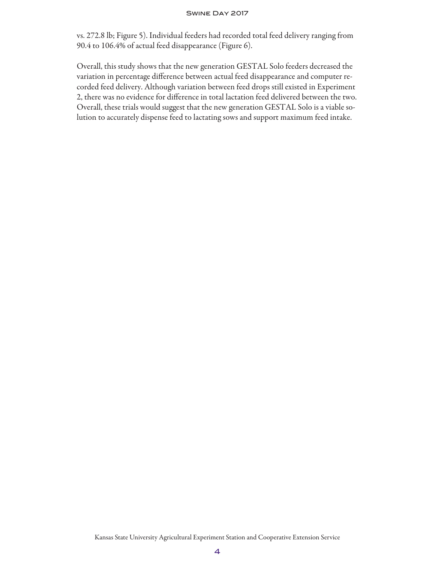#### Swine Day 2017

vs. 272.8 lb; Figure 5). Individual feeders had recorded total feed delivery ranging from 90.4 to 106.4% of actual feed disappearance (Figure 6).

Overall, this study shows that the new generation GESTAL Solo feeders decreased the variation in percentage difference between actual feed disappearance and computer recorded feed delivery. Although variation between feed drops still existed in Experiment 2, there was no evidence for difference in total lactation feed delivered between the two. Overall, these trials would suggest that the new generation GESTAL Solo is a viable solution to accurately dispense feed to lactating sows and support maximum feed intake.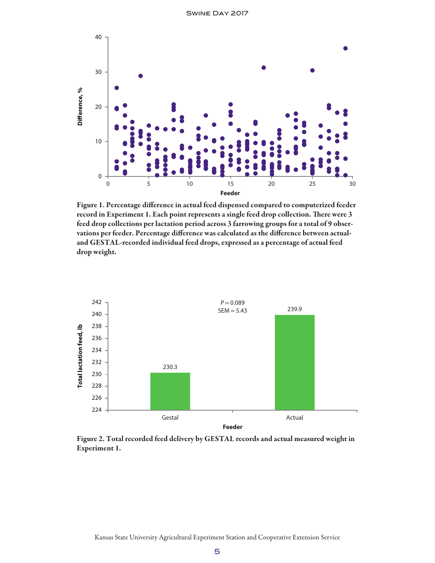

Figure 1. Percentage difference in actual feed dispensed compared to computerized feeder record in Experiment 1. Each point represents a single feed drop collection. There were 3 feed drop collections per lactation period across 3 farrowing groups for a total of 9 observations per feeder. Percentage difference was calculated as the difference between actualand GESTAL-recorded individual feed drops, expressed as a percentage of actual feed drop weight.



Figure 2. Total recorded feed delivery by GESTAL records and actual measured weight in Experiment 1.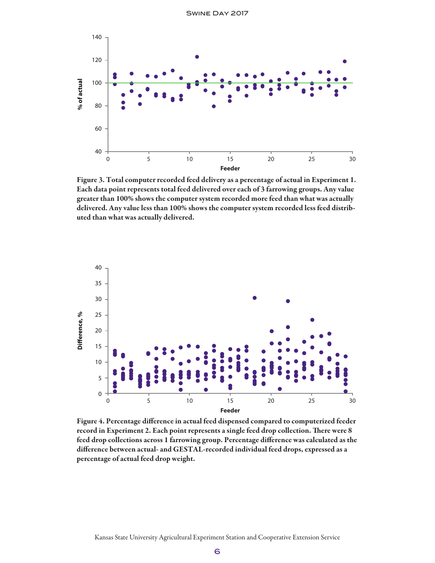

Figure 3. Total computer recorded feed delivery as a percentage of actual in Experiment 1. Each data point represents total feed delivered over each of 3 farrowing groups. Any value greater than 100% shows the computer system recorded more feed than what was actually delivered. Any value less than 100% shows the computer system recorded less feed distributed than what was actually delivered.



Figure 4. Percentage difference in actual feed dispensed compared to computerized feeder record in Experiment 2. Each point represents a single feed drop collection. There were 8 feed drop collections across 1 farrowing group. Percentage difference was calculated as the difference between actual- and GESTAL-recorded individual feed drops, expressed as a percentage of actual feed drop weight.